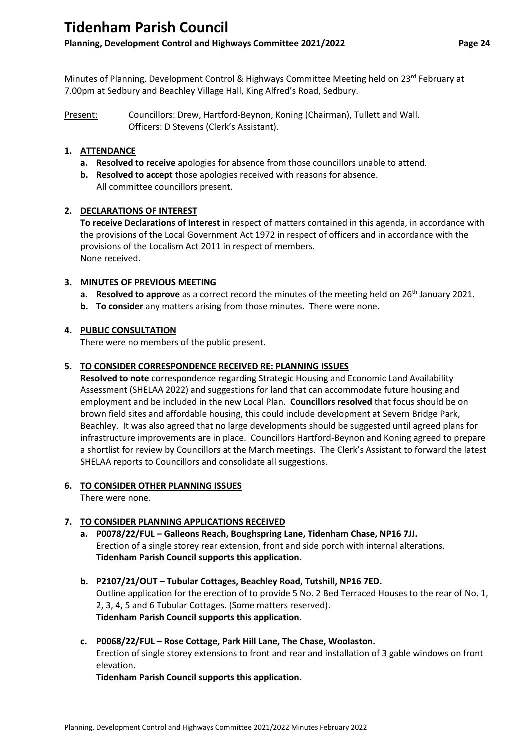# **Tidenham Parish Council**

# **Planning, Development Control and Highways Committee 2021/2022 Page 24**

Minutes of Planning, Development Control & Highways Committee Meeting held on 23rd February at 7.00pm at Sedbury and Beachley Village Hall, King Alfred's Road, Sedbury.

Present: Councillors: Drew, Hartford-Beynon, Koning (Chairman), Tullett and Wall. Officers: D Stevens (Clerk's Assistant).

## **1. ATTENDANCE**

- **a. Resolved to receive** apologies for absence from those councillors unable to attend.
- **b. Resolved to accept** those apologies received with reasons for absence. All committee councillors present.

### **2. DECLARATIONS OF INTEREST**

**To receive Declarations of Interest** in respect of matters contained in this agenda, in accordance with the provisions of the Local Government Act 1972 in respect of officers and in accordance with the provisions of the Localism Act 2011 in respect of members. None received.

### **3. MINUTES OF PREVIOUS MEETING**

- **a. Resolved to approve** as a correct record the minutes of the meeting held on 26<sup>th</sup> January 2021.
- **b. To consider** any matters arising from those minutes. There were none.

### **4. PUBLIC CONSULTATION**

There were no members of the public present.

### **5. TO CONSIDER CORRESPONDENCE RECEIVED RE: PLANNING ISSUES**

**Resolved to note** correspondence regarding Strategic Housing and Economic Land Availability Assessment (SHELAA 2022) and suggestions for land that can accommodate future housing and employment and be included in the new Local Plan. **Councillors resolved** that focus should be on brown field sites and affordable housing, this could include development at Severn Bridge Park, Beachley. It was also agreed that no large developments should be suggested until agreed plans for infrastructure improvements are in place. Councillors Hartford-Beynon and Koning agreed to prepare a shortlist for review by Councillors at the March meetings. The Clerk's Assistant to forward the latest SHELAA reports to Councillors and consolidate all suggestions.

# **6. TO CONSIDER OTHER PLANNING ISSUES**

There were none.

# **7. TO CONSIDER PLANNING APPLICATIONS RECEIVED**

- **a. P0078/22/FUL – Galleons Reach, Boughspring Lane, Tidenham Chase, NP16 7JJ.** Erection of a single storey rear extension, front and side porch with internal alterations. **Tidenham Parish Council supports this application.**
- **b. P2107/21/OUT – Tubular Cottages, Beachley Road, Tutshill, NP16 7ED.** Outline application for the erection of to provide 5 No. 2 Bed Terraced Houses to the rear of No. 1, 2, 3, 4, 5 and 6 Tubular Cottages. (Some matters reserved). **Tidenham Parish Council supports this application.**
- **c. P0068/22/FUL – Rose Cottage, Park Hill Lane, The Chase, Woolaston.** Erection of single storey extensions to front and rear and installation of 3 gable windows on front elevation.

**Tidenham Parish Council supports this application.**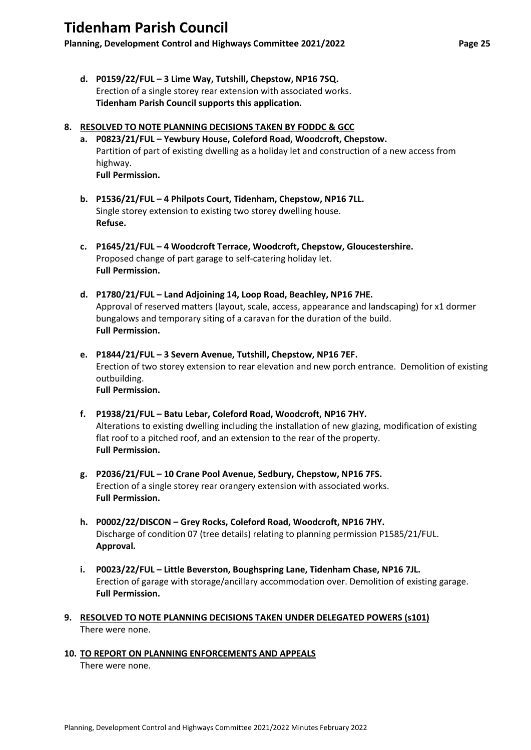# **Tidenham Parish Council**

**Planning, Development Control and Highways Committee 2021/2022 Page 25**

**d. P0159/22/FUL – 3 Lime Way, Tutshill, Chepstow, NP16 7SQ.** Erection of a single storey rear extension with associated works. **Tidenham Parish Council supports this application.**

### **8. RESOLVED TO NOTE PLANNING DECISIONS TAKEN BY FODDC & GCC**

- **a. P0823/21/FUL – Yewbury House, Coleford Road, Woodcroft, Chepstow.** Partition of part of existing dwelling as a holiday let and construction of a new access from highway. **Full Permission.**
- **b. P1536/21/FUL – 4 Philpots Court, Tidenham, Chepstow, NP16 7LL.** Single storey extension to existing two storey dwelling house. **Refuse.**
- **c. P1645/21/FUL – 4 Woodcroft Terrace, Woodcroft, Chepstow, Gloucestershire.** Proposed change of part garage to self-catering holiday let. **Full Permission.**
- **d. P1780/21/FUL – Land Adjoining 14, Loop Road, Beachley, NP16 7HE.** Approval of reserved matters (layout, scale, access, appearance and landscaping) for x1 dormer bungalows and temporary siting of a caravan for the duration of the build. **Full Permission.**
- **e. P1844/21/FUL – 3 Severn Avenue, Tutshill, Chepstow, NP16 7EF.** Erection of two storey extension to rear elevation and new porch entrance. Demolition of existing outbuilding. **Full Permission.**
- **f. P1938/21/FUL – Batu Lebar, Coleford Road, Woodcroft, NP16 7HY.** Alterations to existing dwelling including the installation of new glazing, modification of existing flat roof to a pitched roof, and an extension to the rear of the property. **Full Permission.**
- **g. P2036/21/FUL – 10 Crane Pool Avenue, Sedbury, Chepstow, NP16 7FS.** Erection of a single storey rear orangery extension with associated works. **Full Permission.**
- **h. P0002/22/DISCON – Grey Rocks, Coleford Road, Woodcroft, NP16 7HY.** Discharge of condition 07 (tree details) relating to planning permission P1585/21/FUL. **Approval.**
- **i. P0023/22/FUL – Little Beverston, Boughspring Lane, Tidenham Chase, NP16 7JL.** Erection of garage with storage/ancillary accommodation over. Demolition of existing garage. **Full Permission.**
- **9. RESOLVED TO NOTE PLANNING DECISIONS TAKEN UNDER DELEGATED POWERS (s101)** There were none.

# **10. TO REPORT ON PLANNING ENFORCEMENTS AND APPEALS**

There were none.